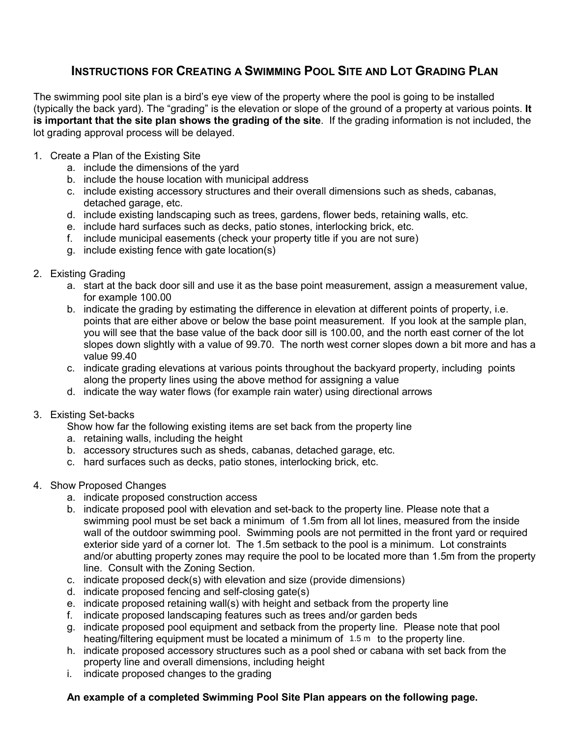## INSTRUCTIONS FOR CREATING A SWIMMING POOL SITE AND LOT GRADING PLAN

The swimming pool site plan is a bird's eye view of the property where the pool is going to be installed (typically the back yard). The "grading" is the elevation or slope of the ground of a property at various points. It is important that the site plan shows the grading of the site. If the grading information is not included, the lot grading approval process will be delayed.

- 1. Create a Plan of the Existing Site
	- a. include the dimensions of the yard
	- b. include the house location with municipal address
	- c. include existing accessory structures and their overall dimensions such as sheds, cabanas, detached garage, etc.
	- d. include existing landscaping such as trees, gardens, flower beds, retaining walls, etc.
	- e. include hard surfaces such as decks, patio stones, interlocking brick, etc.
	- f. include municipal easements (check your property title if you are not sure)
	- g. include existing fence with gate location(s)
- 2. Existing Grading
	- a. start at the back door sill and use it as the base point measurement, assign a measurement value, for example 100.00
	- b. indicate the grading by estimating the difference in elevation at different points of property, i.e. points that are either above or below the base point measurement. If you look at the sample plan, you will see that the base value of the back door sill is 100.00, and the north east corner of the lot slopes down slightly with a value of 99.70. The north west corner slopes down a bit more and has a value 99.40
	- c. indicate grading elevations at various points throughout the backyard property, including points along the property lines using the above method for assigning a value
	- d. indicate the way water flows (for example rain water) using directional arrows
- 3. Existing Set-backs
	- Show how far the following existing items are set back from the property line
	- a. retaining walls, including the height
	- b. accessory structures such as sheds, cabanas, detached garage, etc.
	- c. hard surfaces such as decks, patio stones, interlocking brick, etc.
- 4. Show Proposed Changes
	- a. indicate proposed construction access
	- b. indicate proposed pool with elevation and set-back to the property line. Please note that a swimming pool must be set back a minimum of 1.5m from all lot lines, measured from the inside wall of the outdoor swimming pool. Swimming pools are not permitted in the front yard or required exterior side yard of a corner lot. The 1.5m setback to the pool is a minimum. Lot constraints and/or abutting property zones may require the pool to be located more than 1.5m from the property line. Consult with the Zoning Section.
	- c. indicate proposed deck(s) with elevation and size (provide dimensions)
	- d. indicate proposed fencing and self-closing gate(s)
	- e. indicate proposed retaining wall(s) with height and setback from the property line
	- f. indicate proposed landscaping features such as trees and/or garden beds
	- g. indicate proposed pool equipment and setback from the property line. Please note that pool heating/filtering equipment must be located a minimum of  $1.5 \text{ m}$  to the property line.
	- h. indicate proposed accessory structures such as a pool shed or cabana with set back from the property line and overall dimensions, including height
	- i. indicate proposed changes to the grading

## An example of a completed Swimming Pool Site Plan appears on the following page.